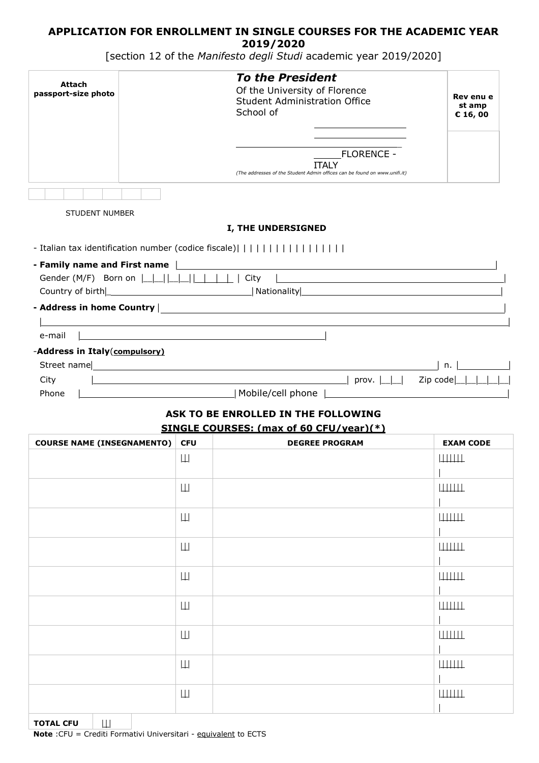## **APPLICATION FOR ENROLLMENT IN SINGLE COURSES FOR THE ACADEMIC YEAR 2019/2020**

[section 12 of the *Manifesto degli Studi* academic year 2019/2020]

| Attach<br>passport-size photo                        |                               | <b>To the President</b><br>Of the University of Florence<br><b>Student Administration Office</b><br>School of<br><b>FLORENCE -</b>                                                                                                       | Rev enu e<br>st amp<br>€ 16,00 |
|------------------------------------------------------|-------------------------------|------------------------------------------------------------------------------------------------------------------------------------------------------------------------------------------------------------------------------------------|--------------------------------|
|                                                      |                               | <b>ITALY</b><br>(The addresses of the Student Admin offices can be found on www.unifi.it)                                                                                                                                                |                                |
|                                                      |                               |                                                                                                                                                                                                                                          |                                |
| <b>STUDENT NUMBER</b>                                |                               |                                                                                                                                                                                                                                          |                                |
|                                                      |                               | I, THE UNDERSIGNED                                                                                                                                                                                                                       |                                |
| - Italian tax identification number (codice fiscale) |                               |                                                                                                                                                                                                                                          |                                |
|                                                      |                               | Gender (M/F) Born on $\Box \Box \Box \Box \Box \Box$                                                                                                                                                                                     |                                |
|                                                      |                               |                                                                                                                                                                                                                                          |                                |
|                                                      |                               | the control of the control of the control of the control of the control of the control of the control of the control of the control of the control of the control of the control of the control of the control of the control            |                                |
| e-mail<br>-Address in Italy(compulsory)              |                               |                                                                                                                                                                                                                                          |                                |
|                                                      |                               |                                                                                                                                                                                                                                          | <b>Contract Contract</b><br>n. |
| City<br>Phone                                        |                               | prov. $\boxed{\underline{\qquad \qquad }}$ Zip code $\boxed{\underline{\qquad \qquad }}$ $\boxed{\quad \qquad }$<br><u> 1980 - Johann Barn, mars eta bat erroman erroman erroman erroman erroman erroman erroman erroman erroman err</u> |                                |
|                                                      |                               | Mobile/cell phone    Mobile/cell phone                                                                                                                                                                                                   |                                |
|                                                      |                               | ASK TO BE ENROLLED IN THE FOLLOWING<br>SINGLE COURSES: (max of 60 CFU/vear)(*)                                                                                                                                                           |                                |
| <b>COURSE NAME (INSEGNAMENTO)</b>                    | <b>CFU</b>                    | <b>DEGREE PROGRAM</b>                                                                                                                                                                                                                    | <b>EXAM CODE</b>               |
|                                                      | Щ                             |                                                                                                                                                                                                                                          | ШЩ                             |
|                                                      | Ш                             |                                                                                                                                                                                                                                          | ШЩЦ                            |
|                                                      |                               |                                                                                                                                                                                                                                          |                                |
|                                                      | Ш                             |                                                                                                                                                                                                                                          | ШШШ                            |
|                                                      | Ш                             |                                                                                                                                                                                                                                          | ШЩЦ                            |
|                                                      | Ш                             |                                                                                                                                                                                                                                          | ШЩЦ                            |
|                                                      | Ш                             |                                                                                                                                                                                                                                          | ШШШ                            |
|                                                      | $\left\vert \perp\right\vert$ |                                                                                                                                                                                                                                          | ШЩЦ                            |
|                                                      |                               |                                                                                                                                                                                                                                          |                                |
|                                                      | Ш                             |                                                                                                                                                                                                                                          | ШЩЦ                            |